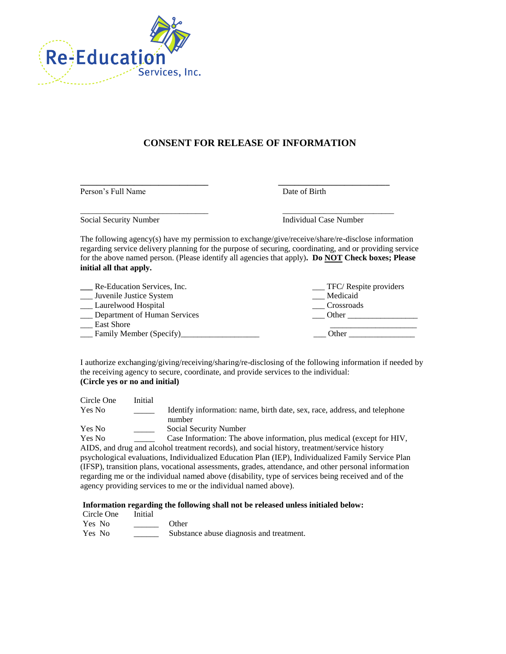

## **CONSENT FOR RELEASE OF INFORMATION**

**\_\_\_\_\_\_\_\_\_\_\_\_\_\_\_\_\_\_\_\_\_\_\_\_\_\_\_\_\_\_\_ \_\_\_\_\_\_\_\_\_\_\_\_\_\_\_\_\_\_\_\_\_\_\_\_\_\_\_** Person's Full Name Date of Birth

\_\_\_\_\_\_\_\_\_\_\_\_\_\_\_\_\_\_\_\_\_\_\_\_\_\_\_\_\_\_\_ \_\_\_\_\_\_\_\_\_\_\_\_\_\_\_\_\_\_\_\_\_\_\_\_\_\_\_

Social Security Number Individual Case Number

The following agency(s) have my permission to exchange/give/receive/share/re-disclose information regarding service delivery planning for the purpose of securing, coordinating, and or providing service for the above named person. (Please identify all agencies that apply)**. Do NOT Check boxes; Please initial all that apply.**

| Re-Education Services, Inc.  | $\_$ TFC/ Respite providers |  |  |
|------------------------------|-----------------------------|--|--|
| Juvenile Justice System      | Medicaid                    |  |  |
| Laurelwood Hospital          | Crossroads                  |  |  |
| Department of Human Services | Other                       |  |  |
| <b>East Shore</b>            |                             |  |  |
| Family Member (Specify)      | Other                       |  |  |

I authorize exchanging/giving/receiving/sharing/re-disclosing of the following information if needed by the receiving agency to secure, coordinate, and provide services to the individual: **(Circle yes or no and initial)**

| Circle One    | Initial |                                                                                                  |
|---------------|---------|--------------------------------------------------------------------------------------------------|
| <b>Yes No</b> |         | Identify information: name, birth date, sex, race, address, and telephone                        |
|               |         | number                                                                                           |
| <b>Yes No</b> |         | Social Security Number                                                                           |
| <b>Yes No</b> |         | Case Information: The above information, plus medical (except for HIV,                           |
|               |         | AIDS, and drug and alcohol treatment records), and social history, treatment/service history     |
|               |         | nsychological evaluations Individualized Education Plan (IEP) Individualized Family Service Plan |

psychological evaluations, Individualized Education Plan (IEP), Individualized Family Service Plan (IFSP), transition plans, vocational assessments, grades, attendance, and other personal information regarding me or the individual named above (disability, type of services being received and of the agency providing services to me or the individual named above).

## **Information regarding the following shall not be released unless initialed below:**

Circle One Initial

| Yes No | Other                                    |
|--------|------------------------------------------|
| Yes No | Substance abuse diagnosis and treatment. |